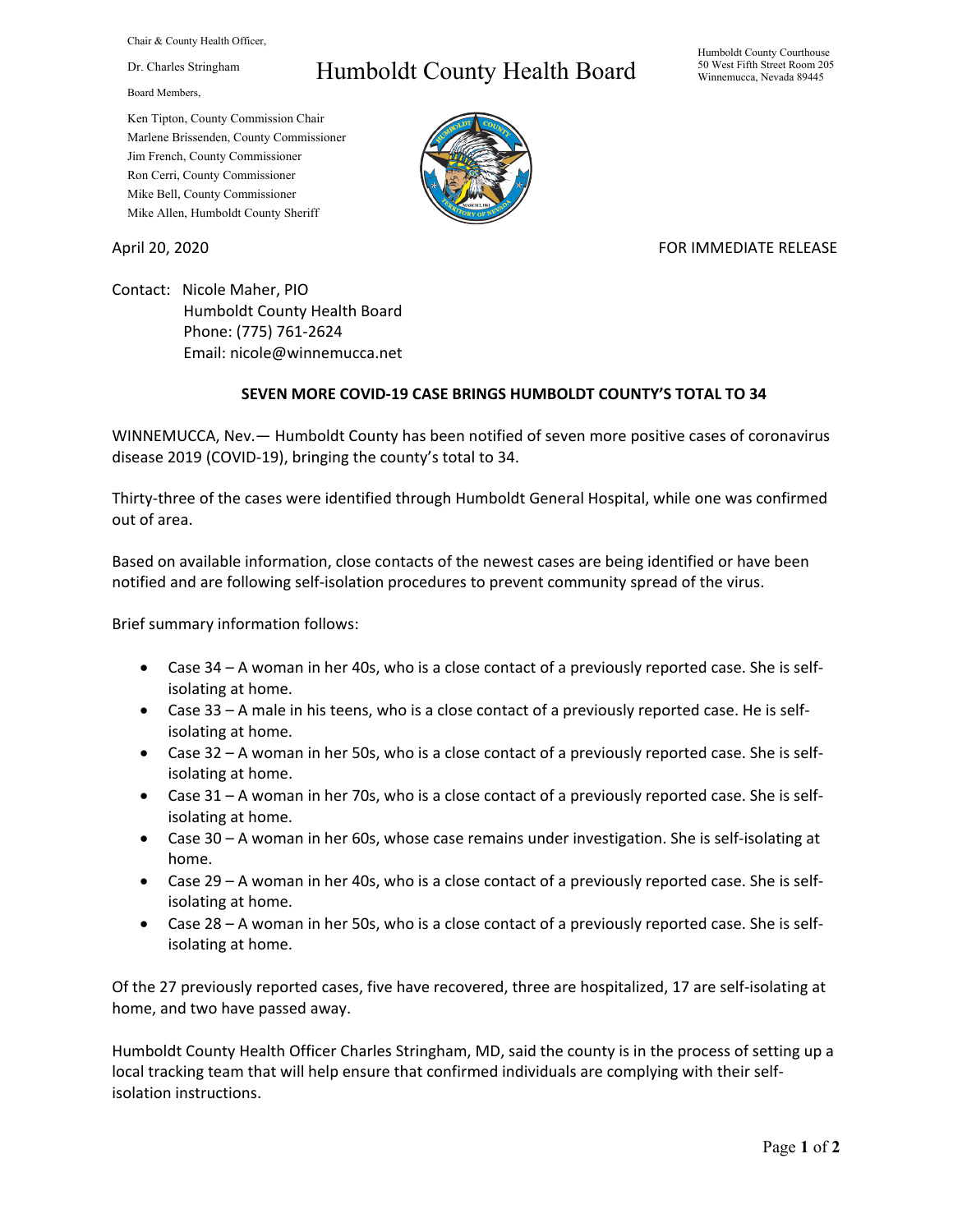Chair & County Health Officer,

Dr. Charles Stringham

Board Members,

## Humboldt County Health Board

Humboldt County Courthouse 50 West Fifth Street Room 205 Winnemucca, Nevada 89445

Ken Tipton, County Commission Chair Marlene Brissenden, County Commissioner Jim French, County Commissioner Ron Cerri, County Commissioner Mike Bell, County Commissioner Mike Allen, Humboldt County Sheriff

April 20, 2020 **FOR IMMEDIATE RELEASE** 

Contact: Nicole Maher, PIO Humboldt County Health Board Phone: (775) 761-2624 Email: nicole@winnemucca.net

## **SEVEN MORE COVID-19 CASE BRINGS HUMBOLDT COUNTY'S TOTAL TO 34**

WINNEMUCCA, Nev.— Humboldt County has been notified of seven more positive cases of coronavirus disease 2019 (COVID-19), bringing the county's total to 34.

Thirty-three of the cases were identified through Humboldt General Hospital, while one was confirmed out of area.

Based on available information, close contacts of the newest cases are being identified or have been notified and are following self-isolation procedures to prevent community spread of the virus.

Brief summary information follows:

- Case 34 A woman in her 40s, who is a close contact of a previously reported case. She is selfisolating at home.
- Case 33 A male in his teens, who is a close contact of a previously reported case. He is selfisolating at home.
- Case 32 A woman in her 50s, who is a close contact of a previously reported case. She is selfisolating at home.
- Case 31 A woman in her 70s, who is a close contact of a previously reported case. She is selfisolating at home.
- Case 30 A woman in her 60s, whose case remains under investigation. She is self-isolating at home.
- Case 29 A woman in her 40s, who is a close contact of a previously reported case. She is selfisolating at home.
- Case 28 A woman in her 50s, who is a close contact of a previously reported case. She is selfisolating at home.

Of the 27 previously reported cases, five have recovered, three are hospitalized, 17 are self-isolating at home, and two have passed away.

Humboldt County Health Officer Charles Stringham, MD, said the county is in the process of setting up a local tracking team that will help ensure that confirmed individuals are complying with their selfisolation instructions.